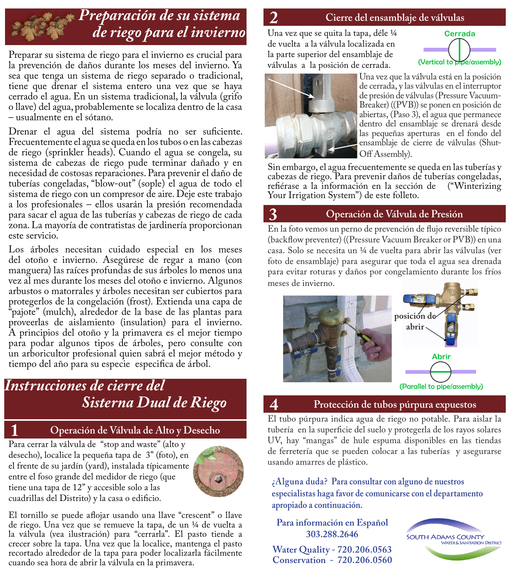# *Preparación de su sistema de riego para el invierno*

Preparar su sistema de riego para el invierno es crucial para la prevención de daños durante los meses del invierno. Ya sea que tenga un sistema de riego separado o tradicional, tiene que drenar el sistema entero una vez que se haya cerrado el agua. En un sistema tradicional, la válvula (grifo o llave) del agua, probablemente se localiza dentro de la casa – usualmente en el sótano.

Drenar el agua del sistema podría no ser suficiente. Frecuentemente el agua se queda en los tubos o en las cabezas de riego (sprinkler heads). Cuando el agua se congela, su sistema de cabezas de riego pude terminar dañado y en necesidad de costosas reparaciones. Para prevenir el daño de tuberías congeladas, "blow-out" (sople) el agua de todo el sistema de riego con un compresor de aire. Deje este trabajo a los profesionales – ellos usarán la presión recomendada para sacar el agua de las tuberías y cabezas de riego de cada zona. La mayoría de contratistas de jardinería proporcionan este servicio.

Los árboles necesitan cuidado especial en los meses del otoño e invierno. Asegúrese de regar a mano (con manguera) las raíces profundas de sus árboles lo menos una vez al mes durante los meses del otoño e invierno. Algunos arbustos o matorrales y árboles necesitan ser cubiertos para protegerlos de la congelación (frost). Extienda una capa de "pajote" (mulch), alrededor de la base de las plantas para proveerlas de aislamiento (insulation) para el invierno. A principios del otoño y la primavera es el mejor tiempo para podar algunos tipos de árboles, pero consulte con un arboricultor profesional quien sabrá el mejor método y tiempo del año para su especie especifica de árbol.

## *Instrucciones de cierre del Sisterna Dual de Riego* **4 Protección de tubos púrpura expuestos**

## **1 Operación de Válvula de Alto y Desecho**

Para cerrar la válvula de "stop and waste" (alto y desecho), localice la pequeña tapa de 3" (foto), en el frente de su jardín (yard), instalada típicamente entre el foso grande del medidor de riego (que tiene una tapa de 12" y accesible solo a las cuadrillas del Distrito) y la casa o edificio.



El tornillo se puede aflojar usando una llave "crescent" o llave de riego. Una vez que se remueve la tapa, de un ¼ de vuelta a la válvula (vea ilustración) para "cerrarla". El pasto tiende a crecer sobre la tapa. Una vez que la localice, mantenga el pasto recortado alrededor de la tapa para poder localizarla fácilmente cuando sea hora de abrir la válvula en la primavera.

### **2 Cierre del ensamblaje de válvulas**

Una vez que se quita la tapa, déle ¼ de vuelta a la válvula localizada en la parte superior del ensamblaje de válvulas a la posición de cerrada.





Una vez que la válvula está en la posición de cerrada, y las válvulas en el interruptor de presión de válvulas (Pressure Vacuum-Breaker) ((PVB)) se ponen en posición de abiertas, (Paso 3), el agua que permanece dentro del ensamblaje se drenará desde las pequeñas aperturas en el fondo del ensamblaje de cierre de válvulas (Shut-Off Assembly).

Sin embargo, el agua frecuentemente se queda en las tuberías y cabezas de riego. Para prevenir daños de tuberías congeladas, refiérase a la información en la sección de ("Winterizing Your Irrigation System") de este folleto.

### **3 Operación de Válvula de Presión**

En la foto vemos un perno de prevención de flujo reversible típico (backflow preventer) ((Pressure Vacuum Breaker or PVB)) en una casa. Solo se necesita un ¼ de vuelta para abrir las válvulas (ver foto de ensamblaje) para asegurar que toda el agua sea drenada para evitar roturas y daños por congelamiento durante los fríos meses de invierno.



El tubo púrpura indica agua de riego no potable. Para aislar la tubería en la superficie del suelo y protegerla de los rayos solares UV, hay "mangas" de hule espuma disponibles en las tiendas de ferretería que se pueden colocar a las tuberías y asegurarse usando amarres de plástico.

**¿Alguna duda? Para consultar con alguno de nuestros especialistas haga favor de comunicarse con el departamento apropiado a continuación.**

**Para información en Español 303.288.2646**

**Water Quality - 720.206.0563 Conservation - 720.206.0560**